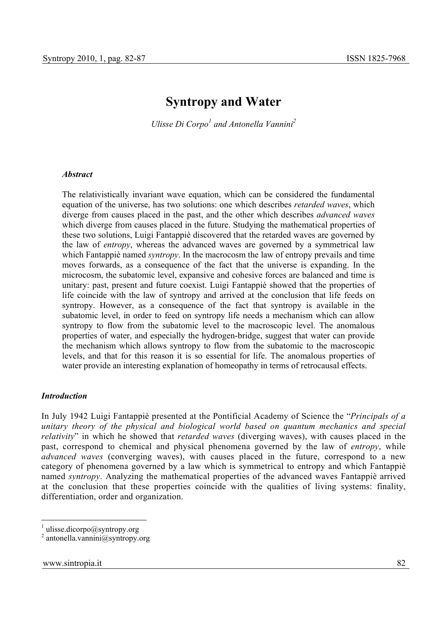# **Syntropy and Water**

*Ulisse Di Corpo<sup>1</sup> and Antonella Vannini*<sup>2</sup>

#### *Abstract*

The relativistically invariant wave equation, which can be considered the fundamental equation of the universe, has two solutions: one which describes *retarded waves*, which diverge from causes placed in the past, and the other which describes *advanced waves* which diverge from causes placed in the future. Studying the mathematical properties of these two solutions, Luigi Fantappiè discovered that the retarded waves are governed by the law of *entropy*, whereas the advanced waves are governed by a symmetrical law which Fantappiè named *syntropy*. In the macrocosm the law of entropy prevails and time moves forwards, as a consequence of the fact that the universe is expanding. In the microcosm, the subatomic level, expansive and cohesive forces are balanced and time is unitary: past, present and future coexist. Luigi Fantappiè showed that the properties of life coincide with the law of syntropy and arrived at the conclusion that life feeds on syntropy. However, as a consequence of the fact that syntropy is available in the subatomic level, in order to feed on syntropy life needs a mechanism which can allow syntropy to flow from the subatomic level to the macroscopic level. The anomalous properties of water, and especially the hydrogen-bridge, suggest that water can provide the mechanism which allows syntropy to flow from the subatomic to the macroscopic levels, and that for this reason it is so essential for life. The anomalous properties of water provide an interesting explanation of homeopathy in terms of retrocausal effects.

#### *Introduction*

In July 1942 Luigi Fantappiè presented at the Pontificial Academy of Science the "*Principals of a unitary theory of the physical and biological world based on quantum mechanics and special relativity*" in which he showed that *retarded waves* (diverging waves), with causes placed in the past, correspond to chemical and physical phenomena governed by the law of *entropy*, while *advanced waves* (converging waves), with causes placed in the future, correspond to a new category of phenomena governed by a law which is symmetrical to entropy and which Fantappiè named *syntropy*. Analyzing the mathematical properties of the advanced waves Fantappiè arrived at the conclusion that these properties coincide with the qualities of living systems: finality, differentiation, order and organization.

 $\frac{1}{1}$  ulisse.dicorpo@syntropy.org

<sup>2</sup> antonella.vannini@syntropy.org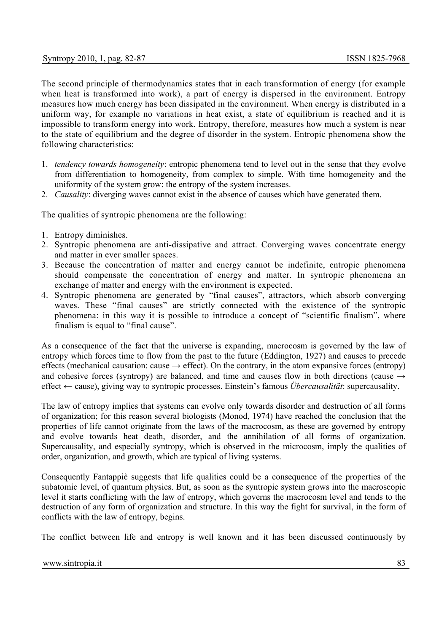The second principle of thermodynamics states that in each transformation of energy (for example when heat is transformed into work), a part of energy is dispersed in the environment. Entropy measures how much energy has been dissipated in the environment. When energy is distributed in a uniform way, for example no variations in heat exist, a state of equilibrium is reached and it is impossible to transform energy into work. Entropy, therefore, measures how much a system is near to the state of equilibrium and the degree of disorder in the system. Entropic phenomena show the following characteristics:

- 1. *tendency towards homogeneity*: entropic phenomena tend to level out in the sense that they evolve from differentiation to homogeneity, from complex to simple. With time homogeneity and the uniformity of the system grow: the entropy of the system increases.
- 2. *Causality*: diverging waves cannot exist in the absence of causes which have generated them.

The qualities of syntropic phenomena are the following:

- 1. Entropy diminishes.
- 2. Syntropic phenomena are anti-dissipative and attract. Converging waves concentrate energy and matter in ever smaller spaces.
- 3. Because the concentration of matter and energy cannot be indefinite, entropic phenomena should compensate the concentration of energy and matter. In syntropic phenomena an exchange of matter and energy with the environment is expected.
- 4. Syntropic phenomena are generated by "final causes", attractors, which absorb converging waves. These "final causes" are strictly connected with the existence of the syntropic phenomena: in this way it is possible to introduce a concept of "scientific finalism", where finalism is equal to "final cause".

As a consequence of the fact that the universe is expanding, macrocosm is governed by the law of entropy which forces time to flow from the past to the future (Eddington, 1927) and causes to precede effects (mechanical causation: cause  $\rightarrow$  effect). On the contrary, in the atom expansive forces (entropy) and cohesive forces (syntropy) are balanced, and time and causes flow in both directions (cause  $\rightarrow$ effect ← cause), giving way to syntropic processes. Einstein's famous *Übercausalität*: supercausality.

The law of entropy implies that systems can evolve only towards disorder and destruction of all forms of organization; for this reason several biologists (Monod, 1974) have reached the conclusion that the properties of life cannot originate from the laws of the macrocosm, as these are governed by entropy and evolve towards heat death, disorder, and the annihilation of all forms of organization. Supercausality, and especially syntropy, which is observed in the microcosm, imply the qualities of order, organization, and growth, which are typical of living systems.

Consequently Fantappiè suggests that life qualities could be a consequence of the properties of the subatomic level, of quantum physics. But, as soon as the syntropic system grows into the macroscopic level it starts conflicting with the law of entropy, which governs the macrocosm level and tends to the destruction of any form of organization and structure. In this way the fight for survival, in the form of conflicts with the law of entropy, begins.

The conflict between life and entropy is well known and it has been discussed continuously by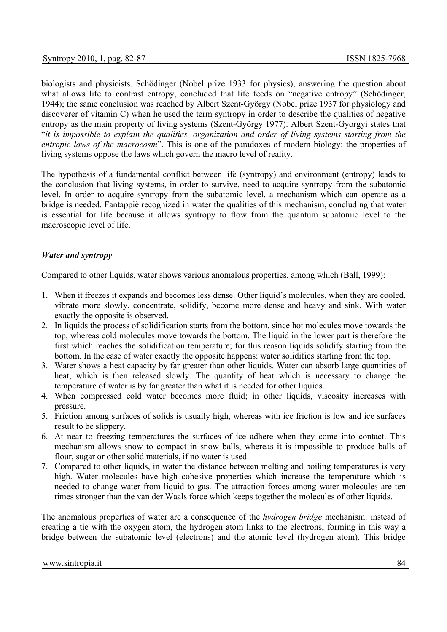biologists and physicists. Schödinger (Nobel prize 1933 for physics), answering the question about what allows life to contrast entropy, concluded that life feeds on "negative entropy" (Schödinger, 1944); the same conclusion was reached by Albert Szent-György (Nobel prize 1937 for physiology and discoverer of vitamin C) when he used the term syntropy in order to describe the qualities of negative entropy as the main property of living systems (Szent-György 1977). Albert Szent-Gyorgyi states that "*it is impossible to explain the qualities, organization and order of living systems starting from the entropic laws of the macrocosm*". This is one of the paradoxes of modern biology: the properties of living systems oppose the laws which govern the macro level of reality.

The hypothesis of a fundamental conflict between life (syntropy) and environment (entropy) leads to the conclusion that living systems, in order to survive, need to acquire syntropy from the subatomic level. In order to acquire syntropy from the subatomic level, a mechanism which can operate as a bridge is needed. Fantappiè recognized in water the qualities of this mechanism, concluding that water is essential for life because it allows syntropy to flow from the quantum subatomic level to the macroscopic level of life.

### *Water and syntropy*

Compared to other liquids, water shows various anomalous properties, among which (Ball, 1999):

- 1. When it freezes it expands and becomes less dense. Other liquid's molecules, when they are cooled, vibrate more slowly, concentrate, solidify, become more dense and heavy and sink. With water exactly the opposite is observed.
- 2. In liquids the process of solidification starts from the bottom, since hot molecules move towards the top, whereas cold molecules move towards the bottom. The liquid in the lower part is therefore the first which reaches the solidification temperature; for this reason liquids solidify starting from the bottom. In the case of water exactly the opposite happens: water solidifies starting from the top.
- 3. Water shows a heat capacity by far greater than other liquids. Water can absorb large quantities of heat, which is then released slowly. The quantity of heat which is necessary to change the temperature of water is by far greater than what it is needed for other liquids.
- 4. When compressed cold water becomes more fluid; in other liquids, viscosity increases with pressure.
- 5. Friction among surfaces of solids is usually high, whereas with ice friction is low and ice surfaces result to be slippery.
- 6. At near to freezing temperatures the surfaces of ice adhere when they come into contact. This mechanism allows snow to compact in snow balls, whereas it is impossible to produce balls of flour, sugar or other solid materials, if no water is used.
- 7. Compared to other liquids, in water the distance between melting and boiling temperatures is very high. Water molecules have high cohesive properties which increase the temperature which is needed to change water from liquid to gas. The attraction forces among water molecules are ten times stronger than the van der Waals force which keeps together the molecules of other liquids.

The anomalous properties of water are a consequence of the *hydrogen bridge* mechanism: instead of creating a tie with the oxygen atom, the hydrogen atom links to the electrons, forming in this way a bridge between the subatomic level (electrons) and the atomic level (hydrogen atom). This bridge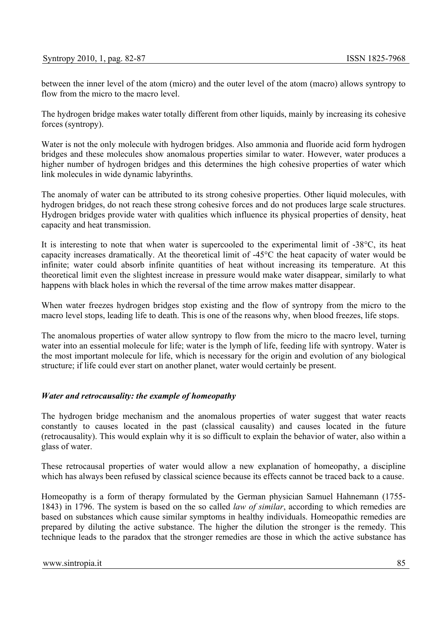between the inner level of the atom (micro) and the outer level of the atom (macro) allows syntropy to flow from the micro to the macro level.

The hydrogen bridge makes water totally different from other liquids, mainly by increasing its cohesive forces (syntropy).

Water is not the only molecule with hydrogen bridges. Also ammonia and fluoride acid form hydrogen bridges and these molecules show anomalous properties similar to water. However, water produces a higher number of hydrogen bridges and this determines the high cohesive properties of water which link molecules in wide dynamic labyrinths.

The anomaly of water can be attributed to its strong cohesive properties. Other liquid molecules, with hydrogen bridges, do not reach these strong cohesive forces and do not produces large scale structures. Hydrogen bridges provide water with qualities which influence its physical properties of density, heat capacity and heat transmission.

It is interesting to note that when water is supercooled to the experimental limit of -38°C, its heat capacity increases dramatically. At the theoretical limit of -45°C the heat capacity of water would be infinite; water could absorb infinite quantities of heat without increasing its temperature. At this theoretical limit even the slightest increase in pressure would make water disappear, similarly to what happens with black holes in which the reversal of the time arrow makes matter disappear.

When water freezes hydrogen bridges stop existing and the flow of syntropy from the micro to the macro level stops, leading life to death. This is one of the reasons why, when blood freezes, life stops.

The anomalous properties of water allow syntropy to flow from the micro to the macro level, turning water into an essential molecule for life; water is the lymph of life, feeding life with syntropy. Water is the most important molecule for life, which is necessary for the origin and evolution of any biological structure; if life could ever start on another planet, water would certainly be present.

#### *Water and retrocausality: the example of homeopathy*

The hydrogen bridge mechanism and the anomalous properties of water suggest that water reacts constantly to causes located in the past (classical causality) and causes located in the future (retrocausality). This would explain why it is so difficult to explain the behavior of water, also within a glass of water.

These retrocausal properties of water would allow a new explanation of homeopathy, a discipline which has always been refused by classical science because its effects cannot be traced back to a cause.

Homeopathy is a form of therapy formulated by the German physician Samuel Hahnemann (1755- 1843) in 1796. The system is based on the so called *law of similar*, according to which remedies are based on substances which cause similar symptoms in healthy individuals. Homeopathic remedies are prepared by diluting the active substance. The higher the dilution the stronger is the remedy. This technique leads to the paradox that the stronger remedies are those in which the active substance has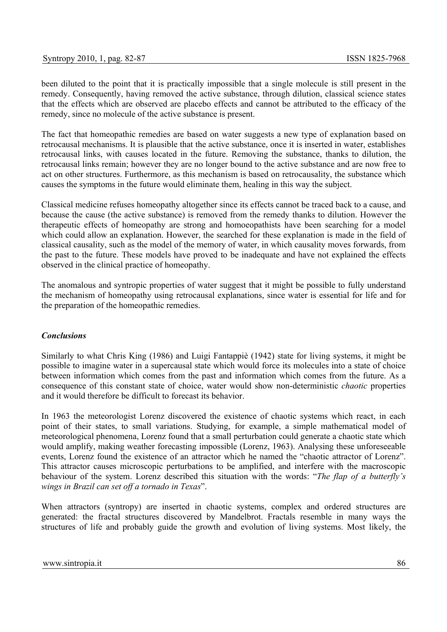been diluted to the point that it is practically impossible that a single molecule is still present in the remedy. Consequently, having removed the active substance, through dilution, classical science states that the effects which are observed are placebo effects and cannot be attributed to the efficacy of the remedy, since no molecule of the active substance is present.

The fact that homeopathic remedies are based on water suggests a new type of explanation based on retrocausal mechanisms. It is plausible that the active substance, once it is inserted in water, establishes retrocausal links, with causes located in the future. Removing the substance, thanks to dilution, the retrocausal links remain; however they are no longer bound to the active substance and are now free to act on other structures. Furthermore, as this mechanism is based on retrocausality, the substance which causes the symptoms in the future would eliminate them, healing in this way the subject.

Classical medicine refuses homeopathy altogether since its effects cannot be traced back to a cause, and because the cause (the active substance) is removed from the remedy thanks to dilution. However the therapeutic effects of homeopathy are strong and homoeopathists have been searching for a model which could allow an explanation. However, the searched for these explanation is made in the field of classical causality, such as the model of the memory of water, in which causality moves forwards, from the past to the future. These models have proved to be inadequate and have not explained the effects observed in the clinical practice of homeopathy.

The anomalous and syntropic properties of water suggest that it might be possible to fully understand the mechanism of homeopathy using retrocausal explanations, since water is essential for life and for the preparation of the homeopathic remedies.

# *Conclusions*

Similarly to what Chris King (1986) and Luigi Fantappiè (1942) state for living systems, it might be possible to imagine water in a supercausal state which would force its molecules into a state of choice between information which comes from the past and information which comes from the future. As a consequence of this constant state of choice, water would show non-deterministic *chaotic* properties and it would therefore be difficult to forecast its behavior.

In 1963 the meteorologist Lorenz discovered the existence of chaotic systems which react, in each point of their states, to small variations. Studying, for example, a simple mathematical model of meteorological phenomena, Lorenz found that a small perturbation could generate a chaotic state which would amplify, making weather forecasting impossible (Lorenz, 1963). Analysing these unforeseeable events, Lorenz found the existence of an attractor which he named the "chaotic attractor of Lorenz". This attractor causes microscopic perturbations to be amplified, and interfere with the macroscopic behaviour of the system. Lorenz described this situation with the words: "*The flap of a butterfly's wings in Brazil can set off a tornado in Texas*".

When attractors (syntropy) are inserted in chaotic systems, complex and ordered structures are generated: the fractal structures discovered by Mandelbrot. Fractals resemble in many ways the structures of life and probably guide the growth and evolution of living systems. Most likely, the